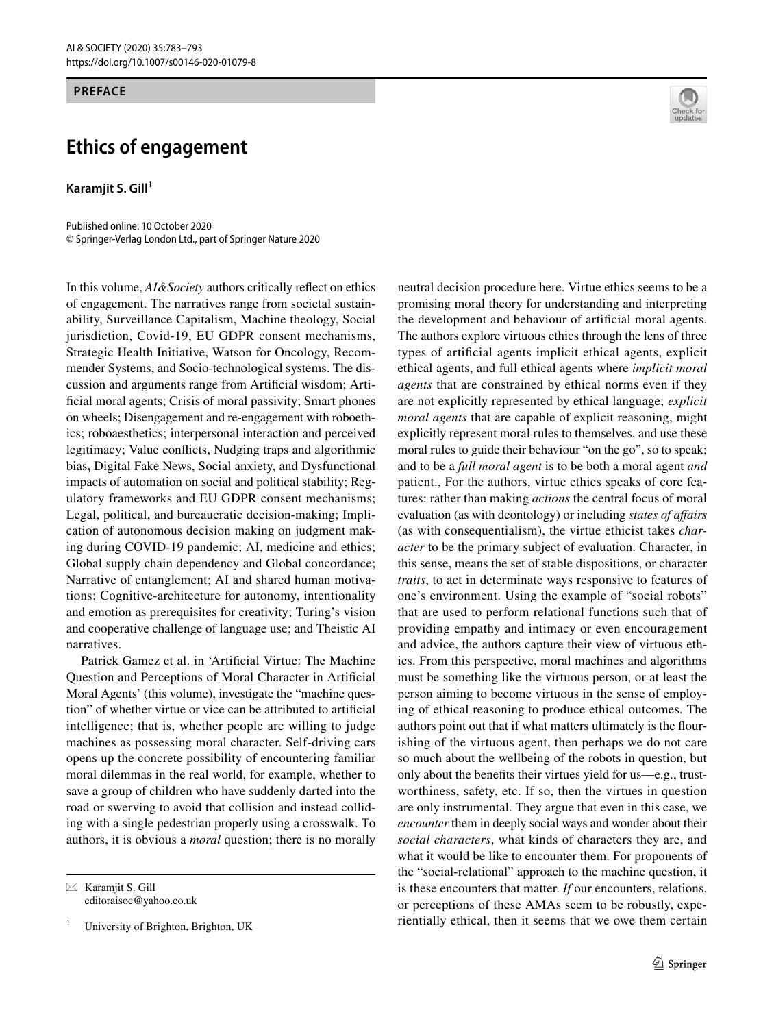## **PREFACE**

## **Ethics of engagement**

**Karamjit S. Gill**<sup>1</sup>

Published online: 10 October 2020 © Springer-Verlag London Ltd., part of Springer Nature 2020

In this volume, *AI&Society* authors critically refect on ethics of engagement. The narratives range from societal sustainability, Surveillance Capitalism, Machine theology, Social jurisdiction, Covid-19, EU GDPR consent mechanisms, Strategic Health Initiative, Watson for Oncology, Recommender Systems, and Socio-technological systems. The discussion and arguments range from Artifcial wisdom; Artifcial moral agents; Crisis of moral passivity; Smart phones on wheels; Disengagement and re-engagement with roboethics; roboaesthetics; interpersonal interaction and perceived legitimacy; Value conficts, Nudging traps and algorithmic bias**,** Digital Fake News, Social anxiety, and Dysfunctional impacts of automation on social and political stability; Regulatory frameworks and EU GDPR consent mechanisms; Legal, political, and bureaucratic decision-making; Implication of autonomous decision making on judgment making during COVID-19 pandemic; AI, medicine and ethics; Global supply chain dependency and Global concordance; Narrative of entanglement; AI and shared human motivations; Cognitive-architecture for autonomy, intentionality and emotion as prerequisites for creativity; Turing's vision and cooperative challenge of language use; and Theistic AI narratives.

Patrick Gamez et al. in 'Artifcial Virtue: The Machine Question and Perceptions of Moral Character in Artifcial Moral Agents' (this volume), investigate the "machine question" of whether virtue or vice can be attributed to artifcial intelligence; that is, whether people are willing to judge machines as possessing moral character. Self-driving cars opens up the concrete possibility of encountering familiar moral dilemmas in the real world, for example, whether to save a group of children who have suddenly darted into the road or swerving to avoid that collision and instead colliding with a single pedestrian properly using a crosswalk. To authors, it is obvious a *moral* question; there is no morally



neutral decision procedure here. Virtue ethics seems to be a promising moral theory for understanding and interpreting the development and behaviour of artifcial moral agents. The authors explore virtuous ethics through the lens of three types of artifcial agents implicit ethical agents, explicit ethical agents, and full ethical agents where *implicit moral agents* that are constrained by ethical norms even if they are not explicitly represented by ethical language; *explicit moral agents* that are capable of explicit reasoning, might explicitly represent moral rules to themselves, and use these moral rules to guide their behaviour "on the go", so to speak; and to be a *full moral agent* is to be both a moral agent *and* patient., For the authors, virtue ethics speaks of core features: rather than making *actions* the central focus of moral evaluation (as with deontology) or including *states of afairs* (as with consequentialism), the virtue ethicist takes *character* to be the primary subject of evaluation. Character, in this sense, means the set of stable dispositions, or character *traits*, to act in determinate ways responsive to features of one's environment. Using the example of "social robots" that are used to perform relational functions such that of providing empathy and intimacy or even encouragement and advice, the authors capture their view of virtuous ethics. From this perspective, moral machines and algorithms must be something like the virtuous person, or at least the person aiming to become virtuous in the sense of employing of ethical reasoning to produce ethical outcomes. The authors point out that if what matters ultimately is the fourishing of the virtuous agent, then perhaps we do not care so much about the wellbeing of the robots in question, but only about the benefts their virtues yield for us—e.g., trustworthiness, safety, etc. If so, then the virtues in question are only instrumental. They argue that even in this case, we *encounter* them in deeply social ways and wonder about their *social characters*, what kinds of characters they are, and what it would be like to encounter them. For proponents of the "social-relational" approach to the machine question, it is these encounters that matter. *If* our encounters, relations, or perceptions of these AMAs seem to be robustly, experientially ethical, then it seems that we owe them certain

 $\boxtimes$  Karamjit S. Gill editoraisoc@yahoo.co.uk

University of Brighton, Brighton, UK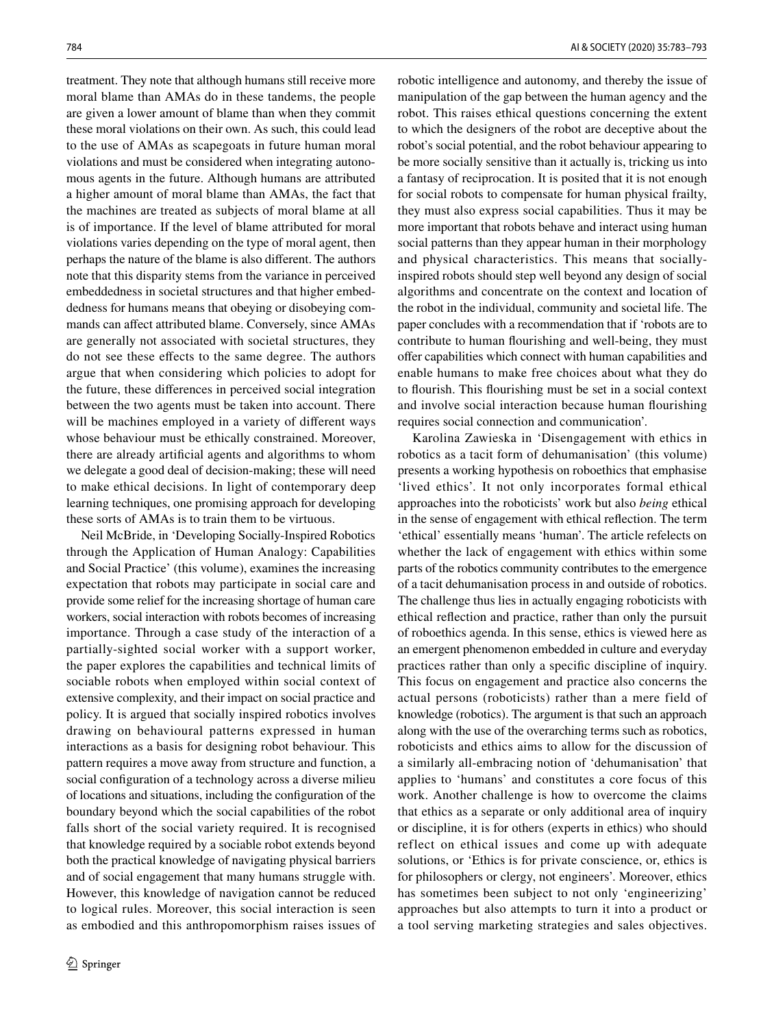treatment. They note that although humans still receive more moral blame than AMAs do in these tandems, the people are given a lower amount of blame than when they commit these moral violations on their own. As such, this could lead to the use of AMAs as scapegoats in future human moral violations and must be considered when integrating autonomous agents in the future. Although humans are attributed a higher amount of moral blame than AMAs, the fact that the machines are treated as subjects of moral blame at all is of importance. If the level of blame attributed for moral violations varies depending on the type of moral agent, then perhaps the nature of the blame is also diferent. The authors note that this disparity stems from the variance in perceived embeddedness in societal structures and that higher embeddedness for humans means that obeying or disobeying commands can afect attributed blame. Conversely, since AMAs are generally not associated with societal structures, they do not see these efects to the same degree. The authors argue that when considering which policies to adopt for the future, these diferences in perceived social integration between the two agents must be taken into account. There will be machines employed in a variety of diferent ways whose behaviour must be ethically constrained. Moreover, there are already artifcial agents and algorithms to whom we delegate a good deal of decision-making; these will need to make ethical decisions. In light of contemporary deep learning techniques, one promising approach for developing these sorts of AMAs is to train them to be virtuous.

Neil McBride, in 'Developing Socially-Inspired Robotics through the Application of Human Analogy: Capabilities and Social Practice' (this volume), examines the increasing expectation that robots may participate in social care and provide some relief for the increasing shortage of human care workers, social interaction with robots becomes of increasing importance. Through a case study of the interaction of a partially-sighted social worker with a support worker, the paper explores the capabilities and technical limits of sociable robots when employed within social context of extensive complexity, and their impact on social practice and policy. It is argued that socially inspired robotics involves drawing on behavioural patterns expressed in human interactions as a basis for designing robot behaviour. This pattern requires a move away from structure and function, a social confguration of a technology across a diverse milieu of locations and situations, including the confguration of the boundary beyond which the social capabilities of the robot falls short of the social variety required. It is recognised that knowledge required by a sociable robot extends beyond both the practical knowledge of navigating physical barriers and of social engagement that many humans struggle with. However, this knowledge of navigation cannot be reduced to logical rules. Moreover, this social interaction is seen as embodied and this anthropomorphism raises issues of robotic intelligence and autonomy, and thereby the issue of manipulation of the gap between the human agency and the robot. This raises ethical questions concerning the extent to which the designers of the robot are deceptive about the robot's social potential, and the robot behaviour appearing to be more socially sensitive than it actually is, tricking us into a fantasy of reciprocation. It is posited that it is not enough for social robots to compensate for human physical frailty, they must also express social capabilities. Thus it may be more important that robots behave and interact using human social patterns than they appear human in their morphology and physical characteristics. This means that sociallyinspired robots should step well beyond any design of social algorithms and concentrate on the context and location of the robot in the individual, community and societal life. The paper concludes with a recommendation that if 'robots are to contribute to human fourishing and well-being, they must ofer capabilities which connect with human capabilities and enable humans to make free choices about what they do to fourish. This fourishing must be set in a social context and involve social interaction because human fourishing requires social connection and communication'.

Karolina Zawieska in 'Disengagement with ethics in robotics as a tacit form of dehumanisation' (this volume) presents a working hypothesis on roboethics that emphasise 'lived ethics'. It not only incorporates formal ethical approaches into the roboticists' work but also *being* ethical in the sense of engagement with ethical refection. The term 'ethical' essentially means 'human'. The article refelects on whether the lack of engagement with ethics within some parts of the robotics community contributes to the emergence of a tacit dehumanisation process in and outside of robotics. The challenge thus lies in actually engaging roboticists with ethical refection and practice, rather than only the pursuit of roboethics agenda. In this sense, ethics is viewed here as an emergent phenomenon embedded in culture and everyday practices rather than only a specifc discipline of inquiry. This focus on engagement and practice also concerns the actual persons (roboticists) rather than a mere field of knowledge (robotics). The argument is that such an approach along with the use of the overarching terms such as robotics, roboticists and ethics aims to allow for the discussion of a similarly all-embracing notion of 'dehumanisation' that applies to 'humans' and constitutes a core focus of this work. Another challenge is how to overcome the claims that ethics as a separate or only additional area of inquiry or discipline, it is for others (experts in ethics) who should reflect on ethical issues and come up with adequate solutions, or 'Ethics is for private conscience, or, ethics is for philosophers or clergy, not engineers'. Moreover, ethics has sometimes been subject to not only 'engineerizing' approaches but also attempts to turn it into a product or a tool serving marketing strategies and sales objectives.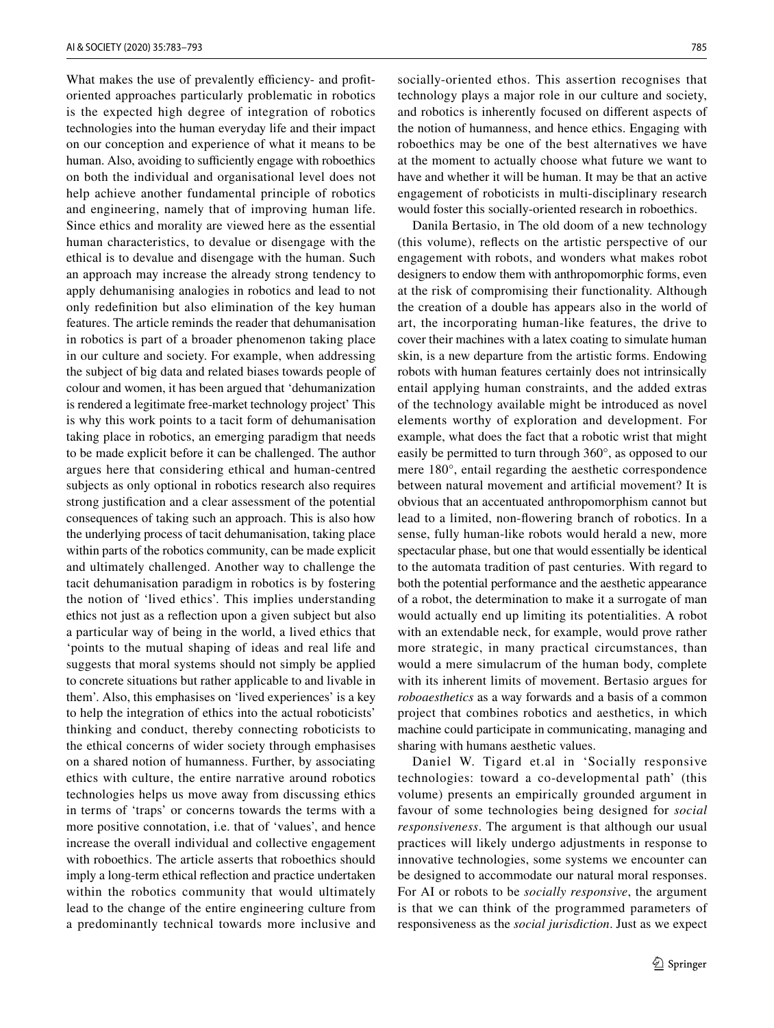What makes the use of prevalently efficiency- and profitoriented approaches particularly problematic in robotics is the expected high degree of integration of robotics technologies into the human everyday life and their impact on our conception and experience of what it means to be human. Also, avoiding to sufficiently engage with roboethics on both the individual and organisational level does not help achieve another fundamental principle of robotics and engineering, namely that of improving human life. Since ethics and morality are viewed here as the essential human characteristics, to devalue or disengage with the ethical is to devalue and disengage with the human. Such an approach may increase the already strong tendency to apply dehumanising analogies in robotics and lead to not only redefnition but also elimination of the key human features. The article reminds the reader that dehumanisation in robotics is part of a broader phenomenon taking place in our culture and society. For example, when addressing the subject of big data and related biases towards people of colour and women, it has been argued that 'dehumanization is rendered a legitimate free-market technology project' This is why this work points to a tacit form of dehumanisation taking place in robotics, an emerging paradigm that needs to be made explicit before it can be challenged. The author argues here that considering ethical and human-centred subjects as only optional in robotics research also requires strong justifcation and a clear assessment of the potential consequences of taking such an approach. This is also how the underlying process of tacit dehumanisation, taking place within parts of the robotics community, can be made explicit and ultimately challenged. Another way to challenge the tacit dehumanisation paradigm in robotics is by fostering the notion of 'lived ethics'. This implies understanding ethics not just as a refection upon a given subject but also a particular way of being in the world, a lived ethics that 'points to the mutual shaping of ideas and real life and suggests that moral systems should not simply be applied to concrete situations but rather applicable to and livable in them'. Also, this emphasises on 'lived experiences' is a key to help the integration of ethics into the actual roboticists' thinking and conduct, thereby connecting roboticists to the ethical concerns of wider society through emphasises on a shared notion of humanness. Further, by associating ethics with culture, the entire narrative around robotics technologies helps us move away from discussing ethics in terms of 'traps' or concerns towards the terms with a more positive connotation, i.e. that of 'values', and hence increase the overall individual and collective engagement with roboethics. The article asserts that roboethics should imply a long-term ethical refection and practice undertaken within the robotics community that would ultimately lead to the change of the entire engineering culture from a predominantly technical towards more inclusive and socially-oriented ethos. This assertion recognises that technology plays a major role in our culture and society, and robotics is inherently focused on diferent aspects of the notion of humanness, and hence ethics. Engaging with roboethics may be one of the best alternatives we have at the moment to actually choose what future we want to have and whether it will be human. It may be that an active engagement of roboticists in multi-disciplinary research would foster this socially-oriented research in roboethics.

Danila Bertasio, in The old doom of a new technology (this volume), refects on the artistic perspective of our engagement with robots, and wonders what makes robot designers to endow them with anthropomorphic forms, even at the risk of compromising their functionality. Although the creation of a double has appears also in the world of art, the incorporating human-like features, the drive to cover their machines with a latex coating to simulate human skin, is a new departure from the artistic forms. Endowing robots with human features certainly does not intrinsically entail applying human constraints, and the added extras of the technology available might be introduced as novel elements worthy of exploration and development. For example, what does the fact that a robotic wrist that might easily be permitted to turn through 360°, as opposed to our mere 180°, entail regarding the aesthetic correspondence between natural movement and artifcial movement? It is obvious that an accentuated anthropomorphism cannot but lead to a limited, non-fowering branch of robotics. In a sense, fully human-like robots would herald a new, more spectacular phase, but one that would essentially be identical to the automata tradition of past centuries. With regard to both the potential performance and the aesthetic appearance of a robot, the determination to make it a surrogate of man would actually end up limiting its potentialities. A robot with an extendable neck, for example, would prove rather more strategic, in many practical circumstances, than would a mere simulacrum of the human body, complete with its inherent limits of movement. Bertasio argues for *roboaesthetics* as a way forwards and a basis of a common project that combines robotics and aesthetics, in which machine could participate in communicating, managing and sharing with humans aesthetic values.

Daniel W. Tigard et.al in 'Socially responsive technologies: toward a co-developmental path' (this volume) presents an empirically grounded argument in favour of some technologies being designed for *social responsiveness*. The argument is that although our usual practices will likely undergo adjustments in response to innovative technologies, some systems we encounter can be designed to accommodate our natural moral responses. For AI or robots to be *socially responsive*, the argument is that we can think of the programmed parameters of responsiveness as the *social jurisdiction*. Just as we expect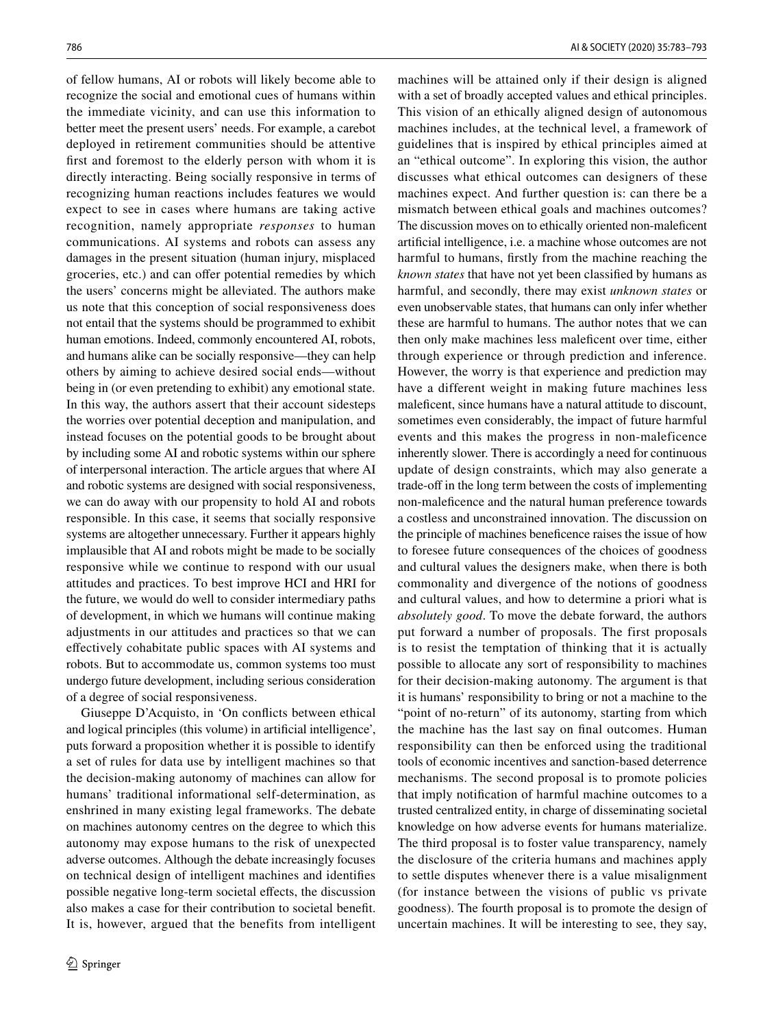of fellow humans, AI or robots will likely become able to recognize the social and emotional cues of humans within the immediate vicinity, and can use this information to better meet the present users' needs. For example, a carebot deployed in retirement communities should be attentive frst and foremost to the elderly person with whom it is directly interacting. Being socially responsive in terms of recognizing human reactions includes features we would expect to see in cases where humans are taking active recognition, namely appropriate *responses* to human communications. AI systems and robots can assess any damages in the present situation (human injury, misplaced groceries, etc.) and can offer potential remedies by which the users' concerns might be alleviated. The authors make us note that this conception of social responsiveness does not entail that the systems should be programmed to exhibit human emotions. Indeed, commonly encountered AI, robots, and humans alike can be socially responsive—they can help others by aiming to achieve desired social ends—without being in (or even pretending to exhibit) any emotional state. In this way, the authors assert that their account sidesteps the worries over potential deception and manipulation, and instead focuses on the potential goods to be brought about by including some AI and robotic systems within our sphere of interpersonal interaction. The article argues that where AI and robotic systems are designed with social responsiveness, we can do away with our propensity to hold AI and robots responsible. In this case, it seems that socially responsive systems are altogether unnecessary. Further it appears highly implausible that AI and robots might be made to be socially responsive while we continue to respond with our usual attitudes and practices. To best improve HCI and HRI for the future, we would do well to consider intermediary paths of development, in which we humans will continue making adjustments in our attitudes and practices so that we can efectively cohabitate public spaces with AI systems and robots. But to accommodate us, common systems too must undergo future development, including serious consideration of a degree of social responsiveness.

Giuseppe D'Acquisto, in 'On conficts between ethical and logical principles (this volume) in artifcial intelligence', puts forward a proposition whether it is possible to identify a set of rules for data use by intelligent machines so that the decision-making autonomy of machines can allow for humans' traditional informational self-determination, as enshrined in many existing legal frameworks. The debate on machines autonomy centres on the degree to which this autonomy may expose humans to the risk of unexpected adverse outcomes. Although the debate increasingly focuses on technical design of intelligent machines and identifes possible negative long-term societal efects, the discussion also makes a case for their contribution to societal beneft. It is, however, argued that the benefits from intelligent machines will be attained only if their design is aligned with a set of broadly accepted values and ethical principles. This vision of an ethically aligned design of autonomous machines includes, at the technical level, a framework of guidelines that is inspired by ethical principles aimed at an "ethical outcome". In exploring this vision, the author discusses what ethical outcomes can designers of these machines expect. And further question is: can there be a mismatch between ethical goals and machines outcomes? The discussion moves on to ethically oriented non-maleficent artifcial intelligence, i.e. a machine whose outcomes are not harmful to humans, frstly from the machine reaching the *known states* that have not yet been classifed by humans as harmful, and secondly, there may exist *unknown states* or even unobservable states, that humans can only infer whether these are harmful to humans. The author notes that we can then only make machines less maleficent over time, either through experience or through prediction and inference. However, the worry is that experience and prediction may have a different weight in making future machines less maleficent, since humans have a natural attitude to discount, sometimes even considerably, the impact of future harmful events and this makes the progress in non-maleficence inherently slower. There is accordingly a need for continuous update of design constraints, which may also generate a trade-off in the long term between the costs of implementing non-malefcence and the natural human preference towards a costless and unconstrained innovation. The discussion on the principle of machines benefcence raises the issue of how to foresee future consequences of the choices of goodness and cultural values the designers make, when there is both commonality and divergence of the notions of goodness and cultural values, and how to determine a priori what is *absolutely good*. To move the debate forward, the authors put forward a number of proposals. The first proposals is to resist the temptation of thinking that it is actually possible to allocate any sort of responsibility to machines for their decision-making autonomy. The argument is that it is humans' responsibility to bring or not a machine to the "point of no-return" of its autonomy, starting from which the machine has the last say on fnal outcomes. Human responsibility can then be enforced using the traditional tools of economic incentives and sanction-based deterrence mechanisms. The second proposal is to promote policies that imply notifcation of harmful machine outcomes to a trusted centralized entity, in charge of disseminating societal knowledge on how adverse events for humans materialize. The third proposal is to foster value transparency, namely the disclosure of the criteria humans and machines apply to settle disputes whenever there is a value misalignment (for instance between the visions of public vs private goodness). The fourth proposal is to promote the design of uncertain machines. It will be interesting to see, they say,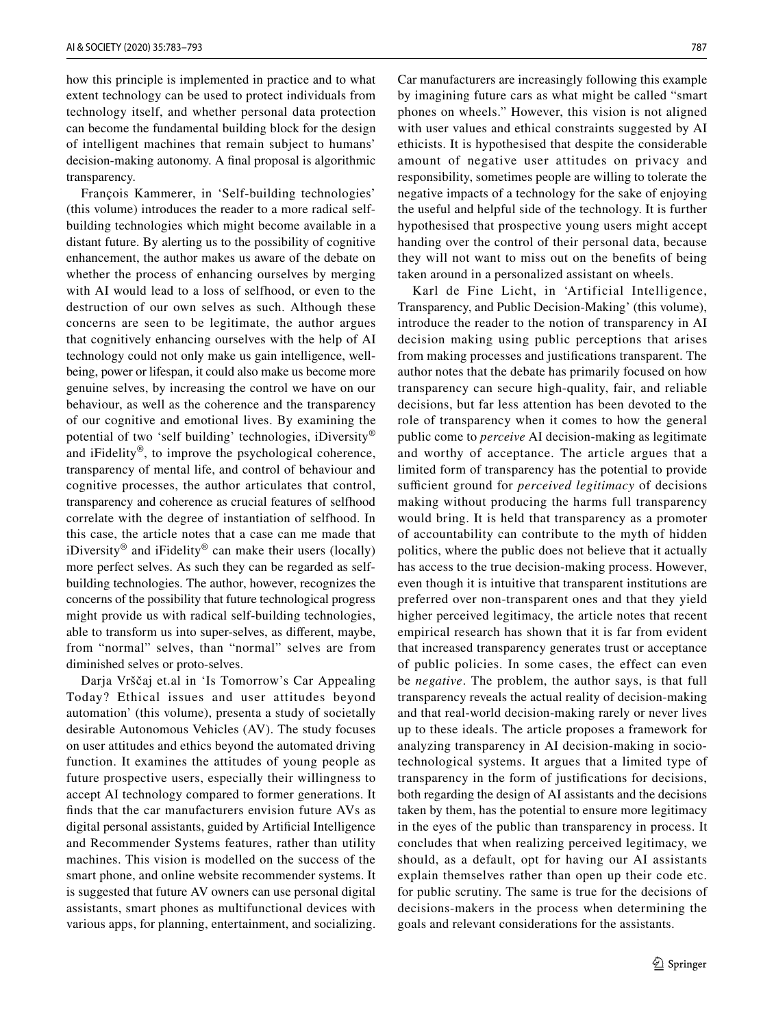how this principle is implemented in practice and to what extent technology can be used to protect individuals from technology itself, and whether personal data protection can become the fundamental building block for the design of intelligent machines that remain subject to humans' decision-making autonomy. A fnal proposal is algorithmic transparency.

François Kammerer, in 'Self-building technologies' (this volume) introduces the reader to a more radical selfbuilding technologies which might become available in a distant future. By alerting us to the possibility of cognitive enhancement, the author makes us aware of the debate on whether the process of enhancing ourselves by merging with AI would lead to a loss of selfhood, or even to the destruction of our own selves as such. Although these concerns are seen to be legitimate, the author argues that cognitively enhancing ourselves with the help of AI technology could not only make us gain intelligence, wellbeing, power or lifespan, it could also make us become more genuine selves, by increasing the control we have on our behaviour, as well as the coherence and the transparency of our cognitive and emotional lives. By examining the potential of two 'self building' technologies, iDiversity® and iFidelity®, to improve the psychological coherence, transparency of mental life, and control of behaviour and cognitive processes, the author articulates that control, transparency and coherence as crucial features of selfhood correlate with the degree of instantiation of selfhood. In this case, the article notes that a case can me made that iDiversity<sup>®</sup> and iFidelity<sup>®</sup> can make their users (locally) more perfect selves. As such they can be regarded as selfbuilding technologies. The author, however, recognizes the concerns of the possibility that future technological progress might provide us with radical self-building technologies, able to transform us into super-selves, as diferent, maybe, from "normal" selves, than "normal" selves are from diminished selves or proto-selves.

Darja Vrščaj et.al in 'Is Tomorrow's Car Appealing Today? Ethical issues and user attitudes beyond automation' (this volume), presenta a study of societally desirable Autonomous Vehicles (AV). The study focuses on user attitudes and ethics beyond the automated driving function. It examines the attitudes of young people as future prospective users, especially their willingness to accept AI technology compared to former generations. It fnds that the car manufacturers envision future AVs as digital personal assistants, guided by Artifcial Intelligence and Recommender Systems features, rather than utility machines. This vision is modelled on the success of the smart phone, and online website recommender systems. It is suggested that future AV owners can use personal digital assistants, smart phones as multifunctional devices with various apps, for planning, entertainment, and socializing.

Car manufacturers are increasingly following this example by imagining future cars as what might be called "smart phones on wheels." However, this vision is not aligned with user values and ethical constraints suggested by AI ethicists. It is hypothesised that despite the considerable amount of negative user attitudes on privacy and responsibility, sometimes people are willing to tolerate the negative impacts of a technology for the sake of enjoying the useful and helpful side of the technology. It is further hypothesised that prospective young users might accept handing over the control of their personal data, because they will not want to miss out on the benefts of being taken around in a personalized assistant on wheels.

Karl de Fine Licht, in 'Artificial Intelligence, Transparency, and Public Decision-Making' (this volume), introduce the reader to the notion of transparency in AI decision making using public perceptions that arises from making processes and justifcations transparent. The author notes that the debate has primarily focused on how transparency can secure high-quality, fair, and reliable decisions, but far less attention has been devoted to the role of transparency when it comes to how the general public come to *perceive* AI decision-making as legitimate and worthy of acceptance. The article argues that a limited form of transparency has the potential to provide sufficient ground for *perceived legitimacy* of decisions making without producing the harms full transparency would bring. It is held that transparency as a promoter of accountability can contribute to the myth of hidden politics, where the public does not believe that it actually has access to the true decision-making process. However, even though it is intuitive that transparent institutions are preferred over non-transparent ones and that they yield higher perceived legitimacy, the article notes that recent empirical research has shown that it is far from evident that increased transparency generates trust or acceptance of public policies. In some cases, the effect can even be *negative*. The problem, the author says, is that full transparency reveals the actual reality of decision-making and that real-world decision-making rarely or never lives up to these ideals. The article proposes a framework for analyzing transparency in AI decision-making in sociotechnological systems. It argues that a limited type of transparency in the form of justifcations for decisions, both regarding the design of AI assistants and the decisions taken by them, has the potential to ensure more legitimacy in the eyes of the public than transparency in process. It concludes that when realizing perceived legitimacy, we should, as a default, opt for having our AI assistants explain themselves rather than open up their code etc. for public scrutiny. The same is true for the decisions of decisions-makers in the process when determining the goals and relevant considerations for the assistants.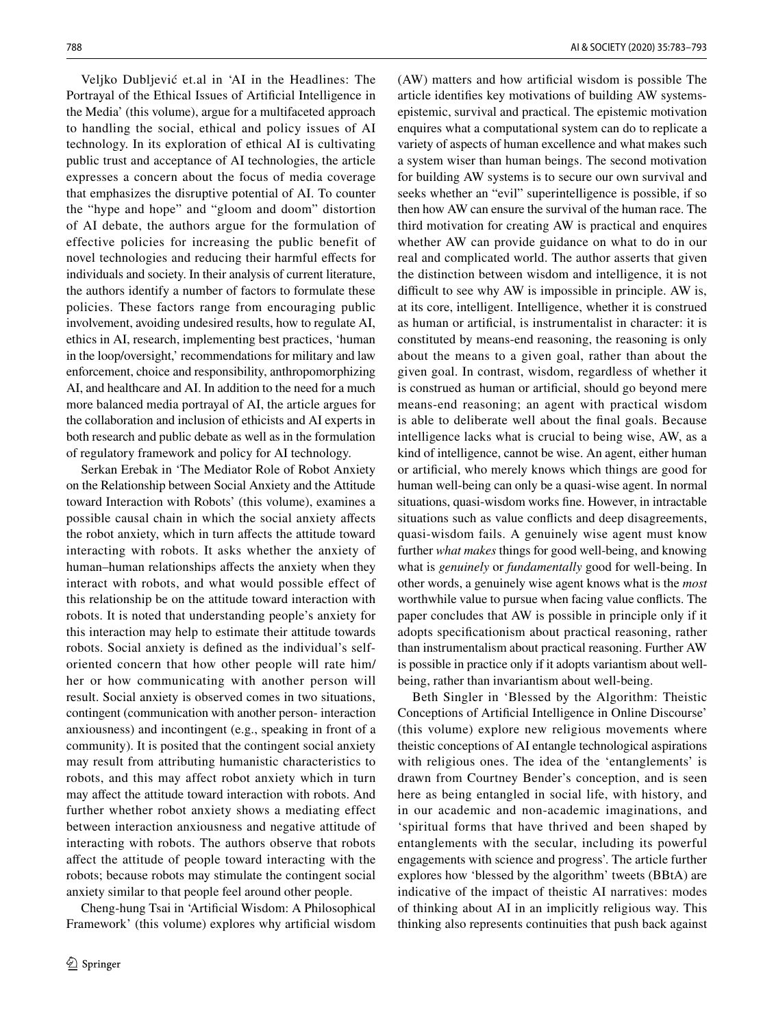Veljko Dubljević et.al in 'AI in the Headlines: The Portrayal of the Ethical Issues of Artifcial Intelligence in the Media' (this volume), argue for a multifaceted approach to handling the social, ethical and policy issues of AI technology. In its exploration of ethical AI is cultivating public trust and acceptance of AI technologies, the article expresses a concern about the focus of media coverage that emphasizes the disruptive potential of AI. To counter the "hype and hope" and "gloom and doom" distortion of AI debate, the authors argue for the formulation of effective policies for increasing the public benefit of novel technologies and reducing their harmful efects for individuals and society. In their analysis of current literature, the authors identify a number of factors to formulate these policies. These factors range from encouraging public involvement, avoiding undesired results, how to regulate AI, ethics in AI, research, implementing best practices, 'human in the loop/oversight,' recommendations for military and law enforcement, choice and responsibility, anthropomorphizing AI, and healthcare and AI. In addition to the need for a much more balanced media portrayal of AI, the article argues for the collaboration and inclusion of ethicists and AI experts in both research and public debate as well as in the formulation of regulatory framework and policy for AI technology.

Serkan Erebak in 'The Mediator Role of Robot Anxiety on the Relationship between Social Anxiety and the Attitude toward Interaction with Robots' (this volume), examines a possible causal chain in which the social anxiety afects the robot anxiety, which in turn afects the attitude toward interacting with robots. It asks whether the anxiety of human–human relationships afects the anxiety when they interact with robots, and what would possible effect of this relationship be on the attitude toward interaction with robots. It is noted that understanding people's anxiety for this interaction may help to estimate their attitude towards robots. Social anxiety is defned as the individual's selforiented concern that how other people will rate him/ her or how communicating with another person will result. Social anxiety is observed comes in two situations, contingent (communication with another person- interaction anxiousness) and incontingent (e.g., speaking in front of a community). It is posited that the contingent social anxiety may result from attributing humanistic characteristics to robots, and this may affect robot anxiety which in turn may afect the attitude toward interaction with robots. And further whether robot anxiety shows a mediating effect between interaction anxiousness and negative attitude of interacting with robots. The authors observe that robots afect the attitude of people toward interacting with the robots; because robots may stimulate the contingent social anxiety similar to that people feel around other people.

Cheng-hung Tsai in 'Artifcial Wisdom: A Philosophical Framework' (this volume) explores why artifcial wisdom (AW) matters and how artifcial wisdom is possible The article identifes key motivations of building AW systemsepistemic, survival and practical. The epistemic motivation enquires what a computational system can do to replicate a variety of aspects of human excellence and what makes such a system wiser than human beings. The second motivation for building AW systems is to secure our own survival and seeks whether an "evil" superintelligence is possible, if so then how AW can ensure the survival of the human race. The third motivation for creating AW is practical and enquires whether AW can provide guidance on what to do in our real and complicated world. The author asserts that given the distinction between wisdom and intelligence, it is not difficult to see why AW is impossible in principle. AW is, at its core, intelligent. Intelligence, whether it is construed as human or artifcial, is instrumentalist in character: it is constituted by means-end reasoning, the reasoning is only about the means to a given goal, rather than about the given goal. In contrast, wisdom, regardless of whether it is construed as human or artifcial, should go beyond mere means-end reasoning; an agent with practical wisdom is able to deliberate well about the fnal goals. Because intelligence lacks what is crucial to being wise, AW, as a kind of intelligence, cannot be wise. An agent, either human or artifcial, who merely knows which things are good for human well-being can only be a quasi-wise agent. In normal situations, quasi-wisdom works fne. However, in intractable situations such as value conficts and deep disagreements, quasi-wisdom fails. A genuinely wise agent must know further *what makes* things for good well-being, and knowing what is *genuinely* or *fundamentally* good for well-being. In other words, a genuinely wise agent knows what is the *most* worthwhile value to pursue when facing value conficts. The paper concludes that AW is possible in principle only if it adopts specifcationism about practical reasoning, rather than instrumentalism about practical reasoning. Further AW is possible in practice only if it adopts variantism about wellbeing, rather than invariantism about well-being.

Beth Singler in 'Blessed by the Algorithm: Theistic Conceptions of Artifcial Intelligence in Online Discourse' (this volume) explore new religious movements where theistic conceptions of AI entangle technological aspirations with religious ones. The idea of the 'entanglements' is drawn from Courtney Bender's conception, and is seen here as being entangled in social life, with history, and in our academic and non-academic imaginations, and 'spiritual forms that have thrived and been shaped by entanglements with the secular, including its powerful engagements with science and progress'. The article further explores how 'blessed by the algorithm' tweets (BBtA) are indicative of the impact of theistic AI narratives: modes of thinking about AI in an implicitly religious way. This thinking also represents continuities that push back against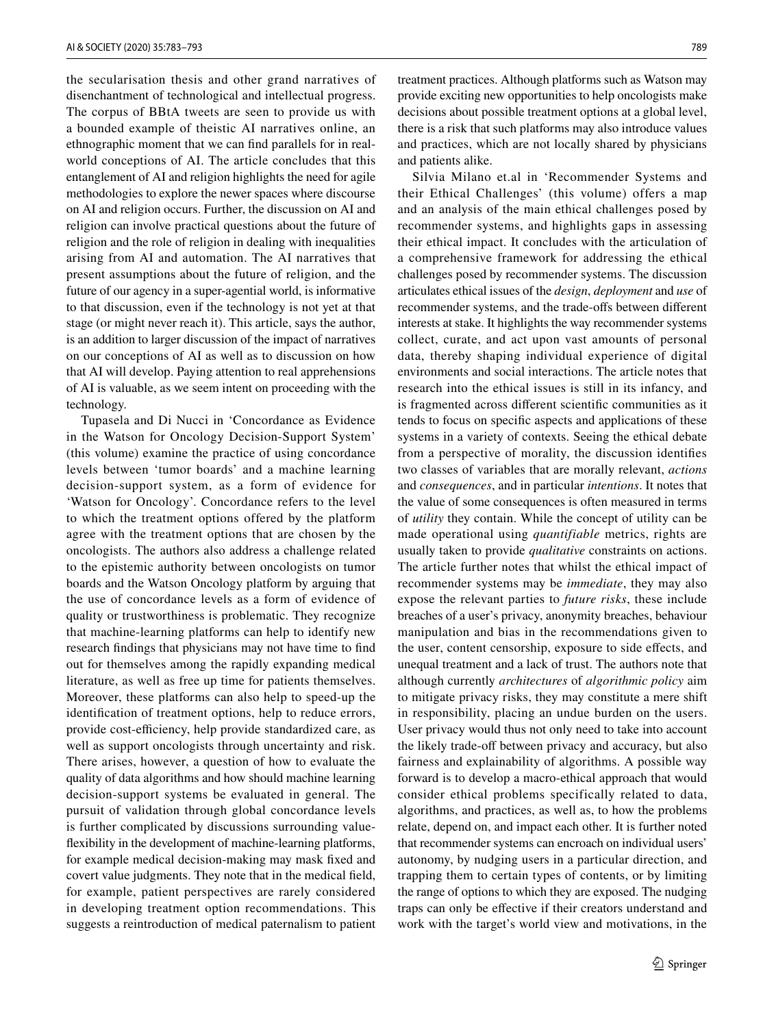the secularisation thesis and other grand narratives of disenchantment of technological and intellectual progress. The corpus of BBtA tweets are seen to provide us with a bounded example of theistic AI narratives online, an ethnographic moment that we can fnd parallels for in realworld conceptions of AI. The article concludes that this entanglement of AI and religion highlights the need for agile methodologies to explore the newer spaces where discourse on AI and religion occurs. Further, the discussion on AI and religion can involve practical questions about the future of religion and the role of religion in dealing with inequalities arising from AI and automation. The AI narratives that present assumptions about the future of religion, and the future of our agency in a super-agential world, is informative to that discussion, even if the technology is not yet at that stage (or might never reach it). This article, says the author, is an addition to larger discussion of the impact of narratives on our conceptions of AI as well as to discussion on how that AI will develop. Paying attention to real apprehensions of AI is valuable, as we seem intent on proceeding with the technology.

Tupasela and Di Nucci in 'Concordance as Evidence in the Watson for Oncology Decision-Support System' (this volume) examine the practice of using concordance levels between 'tumor boards' and a machine learning decision-support system, as a form of evidence for 'Watson for Oncology'. Concordance refers to the level to which the treatment options offered by the platform agree with the treatment options that are chosen by the oncologists. The authors also address a challenge related to the epistemic authority between oncologists on tumor boards and the Watson Oncology platform by arguing that the use of concordance levels as a form of evidence of quality or trustworthiness is problematic. They recognize that machine-learning platforms can help to identify new research fndings that physicians may not have time to fnd out for themselves among the rapidly expanding medical literature, as well as free up time for patients themselves. Moreover, these platforms can also help to speed-up the identifcation of treatment options, help to reduce errors, provide cost-efficiency, help provide standardized care, as well as support oncologists through uncertainty and risk. There arises, however, a question of how to evaluate the quality of data algorithms and how should machine learning decision-support systems be evaluated in general. The pursuit of validation through global concordance levels is further complicated by discussions surrounding valuefexibility in the development of machine-learning platforms, for example medical decision-making may mask fxed and covert value judgments. They note that in the medical feld, for example, patient perspectives are rarely considered in developing treatment option recommendations. This suggests a reintroduction of medical paternalism to patient treatment practices. Although platforms such as Watson may provide exciting new opportunities to help oncologists make decisions about possible treatment options at a global level, there is a risk that such platforms may also introduce values and practices, which are not locally shared by physicians and patients alike.

Silvia Milano et.al in 'Recommender Systems and their Ethical Challenges' (this volume) offers a map and an analysis of the main ethical challenges posed by recommender systems, and highlights gaps in assessing their ethical impact. It concludes with the articulation of a comprehensive framework for addressing the ethical challenges posed by recommender systems. The discussion articulates ethical issues of the *design*, *deployment* and *use* of recommender systems, and the trade-ofs between diferent interests at stake. It highlights the way recommender systems collect, curate, and act upon vast amounts of personal data, thereby shaping individual experience of digital environments and social interactions. The article notes that research into the ethical issues is still in its infancy, and is fragmented across diferent scientifc communities as it tends to focus on specifc aspects and applications of these systems in a variety of contexts. Seeing the ethical debate from a perspective of morality, the discussion identifes two classes of variables that are morally relevant, *actions* and *consequences*, and in particular *intentions*. It notes that the value of some consequences is often measured in terms of *utility* they contain. While the concept of utility can be made operational using *quantifiable* metrics, rights are usually taken to provide *qualitative* constraints on actions. The article further notes that whilst the ethical impact of recommender systems may be *immediate*, they may also expose the relevant parties to *future risks*, these include breaches of a user's privacy, anonymity breaches, behaviour manipulation and bias in the recommendations given to the user, content censorship, exposure to side efects, and unequal treatment and a lack of trust. The authors note that although currently *architectures* of *algorithmic policy* aim to mitigate privacy risks, they may constitute a mere shift in responsibility, placing an undue burden on the users. User privacy would thus not only need to take into account the likely trade-off between privacy and accuracy, but also fairness and explainability of algorithms. A possible way forward is to develop a macro-ethical approach that would consider ethical problems specifically related to data, algorithms, and practices, as well as, to how the problems relate, depend on, and impact each other. It is further noted that recommender systems can encroach on individual users' autonomy, by nudging users in a particular direction, and trapping them to certain types of contents, or by limiting the range of options to which they are exposed. The nudging traps can only be efective if their creators understand and work with the target's world view and motivations, in the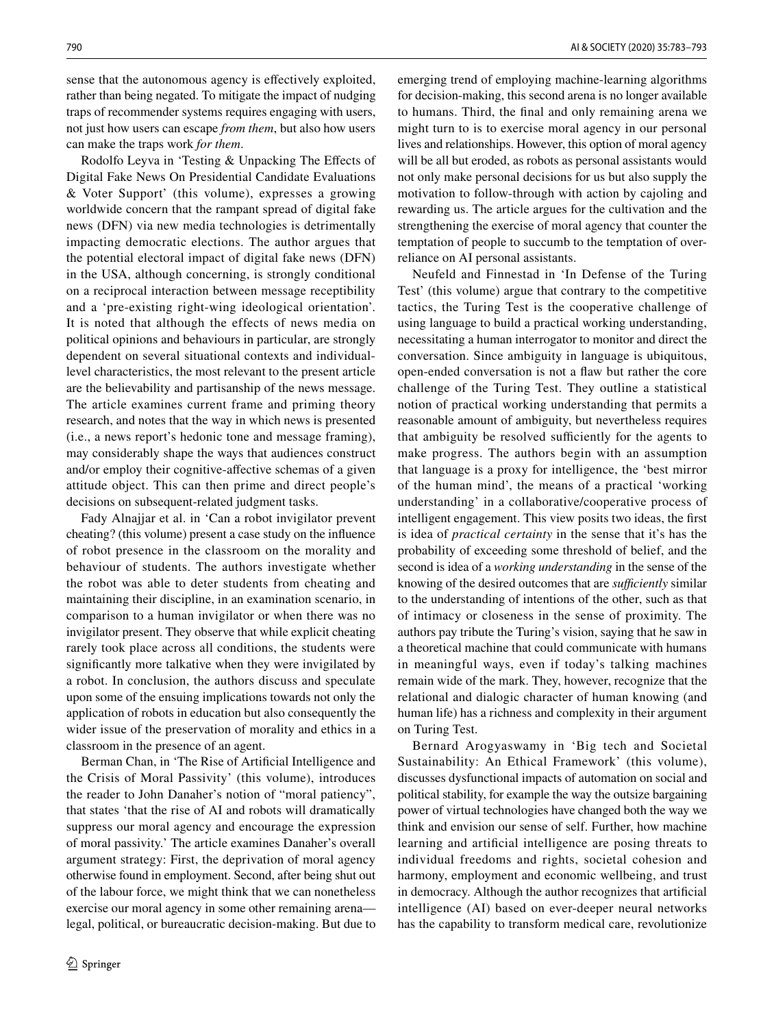sense that the autonomous agency is efectively exploited, rather than being negated. To mitigate the impact of nudging traps of recommender systems requires engaging with users, not just how users can escape *from them*, but also how users can make the traps work *for them*.

Rodolfo Leyva in 'Testing & Unpacking The Efects of Digital Fake News On Presidential Candidate Evaluations & Voter Support' (this volume), expresses a growing worldwide concern that the rampant spread of digital fake news (DFN) via new media technologies is detrimentally impacting democratic elections. The author argues that the potential electoral impact of digital fake news (DFN) in the USA, although concerning, is strongly conditional on a reciprocal interaction between message receptibility and a 'pre-existing right-wing ideological orientation'. It is noted that although the effects of news media on political opinions and behaviours in particular, are strongly dependent on several situational contexts and individuallevel characteristics, the most relevant to the present article are the believability and partisanship of the news message. The article examines current frame and priming theory research, and notes that the way in which news is presented (i.e., a news report's hedonic tone and message framing), may considerably shape the ways that audiences construct and/or employ their cognitive-afective schemas of a given attitude object. This can then prime and direct people's decisions on subsequent-related judgment tasks.

Fady Alnajjar et al. in 'Can a robot invigilator prevent cheating? (this volume) present a case study on the infuence of robot presence in the classroom on the morality and behaviour of students. The authors investigate whether the robot was able to deter students from cheating and maintaining their discipline, in an examination scenario, in comparison to a human invigilator or when there was no invigilator present. They observe that while explicit cheating rarely took place across all conditions, the students were signifcantly more talkative when they were invigilated by a robot. In conclusion, the authors discuss and speculate upon some of the ensuing implications towards not only the application of robots in education but also consequently the wider issue of the preservation of morality and ethics in a classroom in the presence of an agent.

Berman Chan, in 'The Rise of Artifcial Intelligence and the Crisis of Moral Passivity' (this volume), introduces the reader to John Danaher's notion of "moral patiency", that states 'that the rise of AI and robots will dramatically suppress our moral agency and encourage the expression of moral passivity.' The article examines Danaher's overall argument strategy: First, the deprivation of moral agency otherwise found in employment. Second, after being shut out of the labour force, we might think that we can nonetheless exercise our moral agency in some other remaining arena legal, political, or bureaucratic decision-making. But due to emerging trend of employing machine-learning algorithms for decision-making, this second arena is no longer available to humans. Third, the fnal and only remaining arena we might turn to is to exercise moral agency in our personal lives and relationships. However, this option of moral agency will be all but eroded, as robots as personal assistants would not only make personal decisions for us but also supply the motivation to follow-through with action by cajoling and rewarding us. The article argues for the cultivation and the strengthening the exercise of moral agency that counter the temptation of people to succumb to the temptation of overreliance on AI personal assistants.

Neufeld and Finnestad in 'In Defense of the Turing Test' (this volume) argue that contrary to the competitive tactics, the Turing Test is the cooperative challenge of using language to build a practical working understanding, necessitating a human interrogator to monitor and direct the conversation. Since ambiguity in language is ubiquitous, open-ended conversation is not a faw but rather the core challenge of the Turing Test. They outline a statistical notion of practical working understanding that permits a reasonable amount of ambiguity, but nevertheless requires that ambiguity be resolved sufficiently for the agents to make progress. The authors begin with an assumption that language is a proxy for intelligence, the 'best mirror of the human mind', the means of a practical 'working understanding' in a collaborative/cooperative process of intelligent engagement. This view posits two ideas, the frst is idea of *practical certainty* in the sense that it's has the probability of exceeding some threshold of belief, and the second is idea of a *working understanding* in the sense of the knowing of the desired outcomes that are *sufficiently* similar to the understanding of intentions of the other, such as that of intimacy or closeness in the sense of proximity. The authors pay tribute the Turing's vision, saying that he saw in a theoretical machine that could communicate with humans in meaningful ways, even if today's talking machines remain wide of the mark. They, however, recognize that the relational and dialogic character of human knowing (and human life) has a richness and complexity in their argument on Turing Test.

Bernard Arogyaswamy in 'Big tech and Societal Sustainability: An Ethical Framework' (this volume), discusses dysfunctional impacts of automation on social and political stability, for example the way the outsize bargaining power of virtual technologies have changed both the way we think and envision our sense of self. Further, how machine learning and artifcial intelligence are posing threats to individual freedoms and rights, societal cohesion and harmony, employment and economic wellbeing, and trust in democracy. Although the author recognizes that artifcial intelligence (AI) based on ever-deeper neural networks has the capability to transform medical care, revolutionize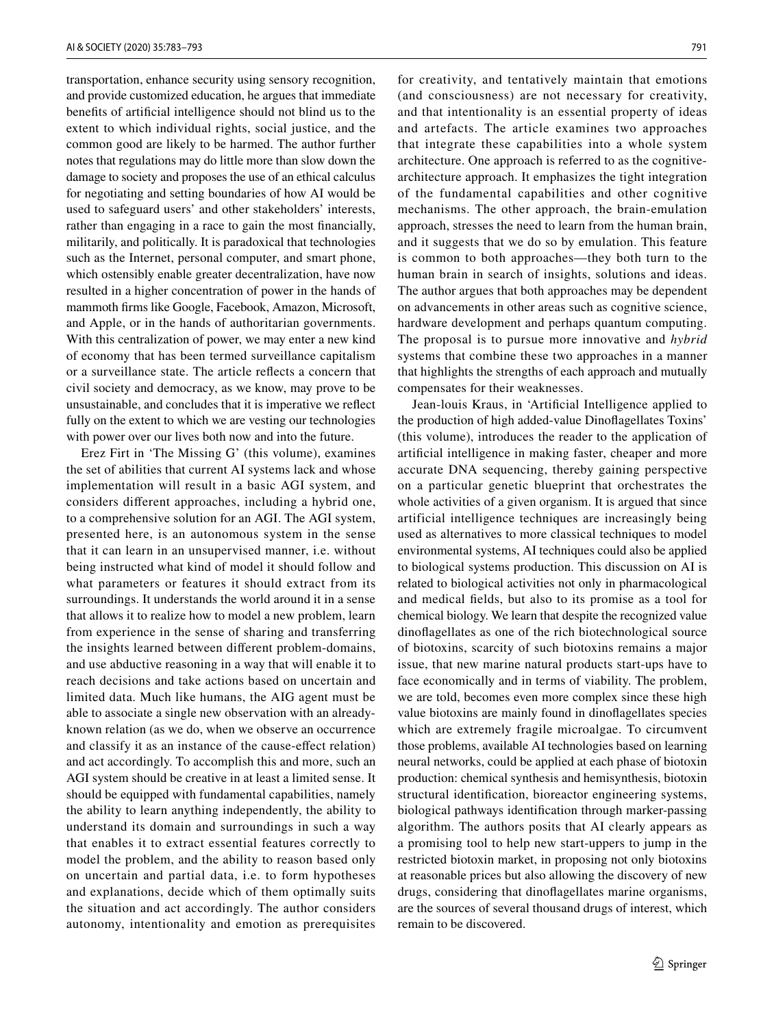transportation, enhance security using sensory recognition, and provide customized education, he argues that immediate benefts of artifcial intelligence should not blind us to the extent to which individual rights, social justice, and the common good are likely to be harmed. The author further notes that regulations may do little more than slow down the damage to society and proposes the use of an ethical calculus for negotiating and setting boundaries of how AI would be used to safeguard users' and other stakeholders' interests, rather than engaging in a race to gain the most fnancially, militarily, and politically. It is paradoxical that technologies such as the Internet, personal computer, and smart phone, which ostensibly enable greater decentralization, have now resulted in a higher concentration of power in the hands of mammoth frms like Google, Facebook, Amazon, Microsoft, and Apple, or in the hands of authoritarian governments. With this centralization of power, we may enter a new kind of economy that has been termed surveillance capitalism or a surveillance state. The article refects a concern that civil society and democracy, as we know, may prove to be unsustainable, and concludes that it is imperative we refect fully on the extent to which we are vesting our technologies with power over our lives both now and into the future.

Erez Firt in 'The Missing G' (this volume), examines the set of abilities that current AI systems lack and whose implementation will result in a basic AGI system, and considers diferent approaches, including a hybrid one, to a comprehensive solution for an AGI. The AGI system, presented here, is an autonomous system in the sense that it can learn in an unsupervised manner, i.e. without being instructed what kind of model it should follow and what parameters or features it should extract from its surroundings. It understands the world around it in a sense that allows it to realize how to model a new problem, learn from experience in the sense of sharing and transferring the insights learned between diferent problem-domains, and use abductive reasoning in a way that will enable it to reach decisions and take actions based on uncertain and limited data. Much like humans, the AIG agent must be able to associate a single new observation with an alreadyknown relation (as we do, when we observe an occurrence and classify it as an instance of the cause-efect relation) and act accordingly. To accomplish this and more, such an AGI system should be creative in at least a limited sense. It should be equipped with fundamental capabilities, namely the ability to learn anything independently, the ability to understand its domain and surroundings in such a way that enables it to extract essential features correctly to model the problem, and the ability to reason based only on uncertain and partial data, i.e. to form hypotheses and explanations, decide which of them optimally suits the situation and act accordingly. The author considers autonomy, intentionality and emotion as prerequisites for creativity, and tentatively maintain that emotions (and consciousness) are not necessary for creativity, and that intentionality is an essential property of ideas and artefacts. The article examines two approaches that integrate these capabilities into a whole system architecture. One approach is referred to as the cognitivearchitecture approach. It emphasizes the tight integration of the fundamental capabilities and other cognitive mechanisms. The other approach, the brain-emulation approach, stresses the need to learn from the human brain, and it suggests that we do so by emulation. This feature is common to both approaches—they both turn to the human brain in search of insights, solutions and ideas. The author argues that both approaches may be dependent on advancements in other areas such as cognitive science, hardware development and perhaps quantum computing. The proposal is to pursue more innovative and *hybrid* systems that combine these two approaches in a manner that highlights the strengths of each approach and mutually compensates for their weaknesses.

Jean-louis Kraus, in 'Artifcial Intelligence applied to the production of high added-value Dinofagellates Toxins' (this volume), introduces the reader to the application of artifcial intelligence in making faster, cheaper and more accurate DNA sequencing, thereby gaining perspective on a particular genetic blueprint that orchestrates the whole activities of a given organism. It is argued that since artificial intelligence techniques are increasingly being used as alternatives to more classical techniques to model environmental systems, AI techniques could also be applied to biological systems production. This discussion on AI is related to biological activities not only in pharmacological and medical felds, but also to its promise as a tool for chemical biology. We learn that despite the recognized value dinofagellates as one of the rich biotechnological source of biotoxins, scarcity of such biotoxins remains a major issue, that new marine natural products start-ups have to face economically and in terms of viability. The problem, we are told, becomes even more complex since these high value biotoxins are mainly found in dinofagellates species which are extremely fragile microalgae. To circumvent those problems, available AI technologies based on learning neural networks, could be applied at each phase of biotoxin production: chemical synthesis and hemisynthesis, biotoxin structural identifcation, bioreactor engineering systems, biological pathways identifcation through marker-passing algorithm. The authors posits that AI clearly appears as a promising tool to help new start-uppers to jump in the restricted biotoxin market, in proposing not only biotoxins at reasonable prices but also allowing the discovery of new drugs, considering that dinofagellates marine organisms, are the sources of several thousand drugs of interest, which remain to be discovered.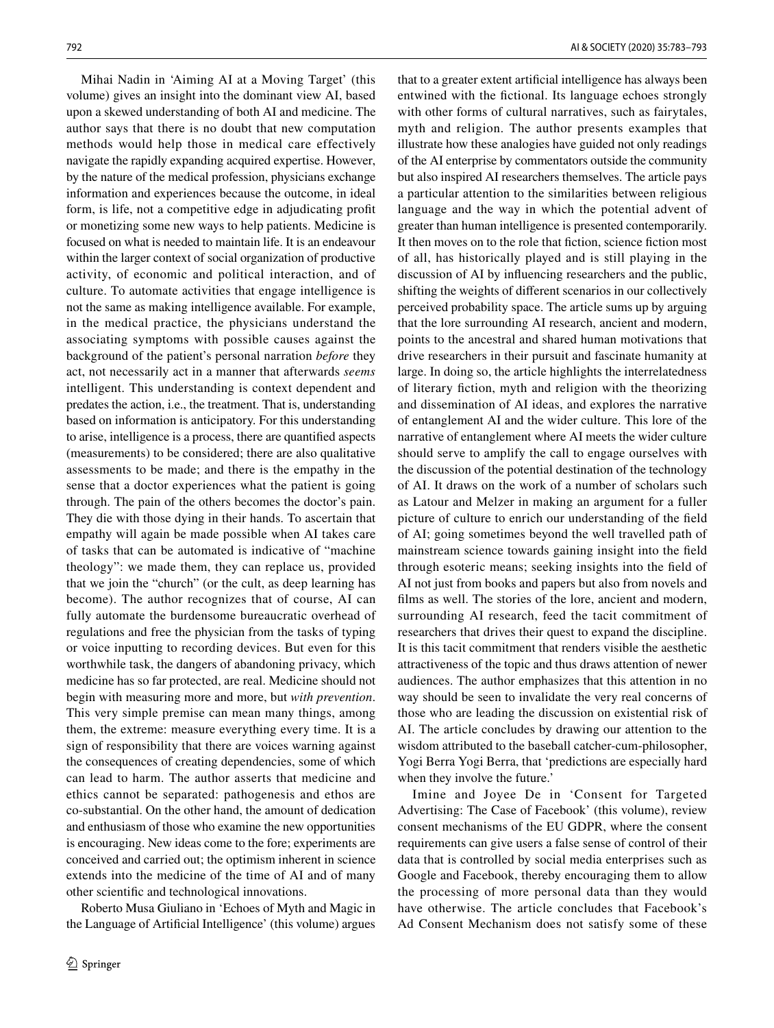Mihai Nadin in 'Aiming AI at a Moving Target' (this volume) gives an insight into the dominant view AI, based upon a skewed understanding of both AI and medicine. The author says that there is no doubt that new computation methods would help those in medical care effectively navigate the rapidly expanding acquired expertise. However, by the nature of the medical profession, physicians exchange information and experiences because the outcome, in ideal form, is life, not a competitive edge in adjudicating proft or monetizing some new ways to help patients. Medicine is focused on what is needed to maintain life. It is an endeavour within the larger context of social organization of productive activity, of economic and political interaction, and of culture. To automate activities that engage intelligence is not the same as making intelligence available. For example, in the medical practice, the physicians understand the associating symptoms with possible causes against the background of the patient's personal narration *before* they act, not necessarily act in a manner that afterwards *seems* intelligent. This understanding is context dependent and predates the action, i.e., the treatment. That is, understanding based on information is anticipatory. For this understanding to arise, intelligence is a process, there are quantifed aspects (measurements) to be considered; there are also qualitative assessments to be made; and there is the empathy in the sense that a doctor experiences what the patient is going through. The pain of the others becomes the doctor's pain. They die with those dying in their hands. To ascertain that empathy will again be made possible when AI takes care of tasks that can be automated is indicative of "machine theology": we made them, they can replace us, provided that we join the "church" (or the cult, as deep learning has become). The author recognizes that of course, AI can fully automate the burdensome bureaucratic overhead of regulations and free the physician from the tasks of typing or voice inputting to recording devices. But even for this worthwhile task, the dangers of abandoning privacy, which medicine has so far protected, are real. Medicine should not begin with measuring more and more, but *with prevention*. This very simple premise can mean many things, among them, the extreme: measure everything every time. It is a sign of responsibility that there are voices warning against the consequences of creating dependencies, some of which can lead to harm. The author asserts that medicine and ethics cannot be separated: pathogenesis and ethos are co-substantial. On the other hand, the amount of dedication and enthusiasm of those who examine the new opportunities is encouraging. New ideas come to the fore; experiments are conceived and carried out; the optimism inherent in science extends into the medicine of the time of AI and of many other scientifc and technological innovations.

Roberto Musa Giuliano in 'Echoes of Myth and Magic in the Language of Artifcial Intelligence' (this volume) argues that to a greater extent artifcial intelligence has always been entwined with the fctional. Its language echoes strongly with other forms of cultural narratives, such as fairytales, myth and religion. The author presents examples that illustrate how these analogies have guided not only readings of the AI enterprise by commentators outside the community but also inspired AI researchers themselves. The article pays a particular attention to the similarities between religious language and the way in which the potential advent of greater than human intelligence is presented contemporarily. It then moves on to the role that fiction, science fiction most of all, has historically played and is still playing in the discussion of AI by infuencing researchers and the public, shifting the weights of diferent scenarios in our collectively perceived probability space. The article sums up by arguing that the lore surrounding AI research, ancient and modern, points to the ancestral and shared human motivations that drive researchers in their pursuit and fascinate humanity at large. In doing so, the article highlights the interrelatedness of literary fction, myth and religion with the theorizing and dissemination of AI ideas, and explores the narrative of entanglement AI and the wider culture. This lore of the narrative of entanglement where AI meets the wider culture should serve to amplify the call to engage ourselves with the discussion of the potential destination of the technology of AI. It draws on the work of a number of scholars such as Latour and Melzer in making an argument for a fuller picture of culture to enrich our understanding of the feld of AI; going sometimes beyond the well travelled path of mainstream science towards gaining insight into the feld through esoteric means; seeking insights into the feld of AI not just from books and papers but also from novels and flms as well. The stories of the lore, ancient and modern, surrounding AI research, feed the tacit commitment of researchers that drives their quest to expand the discipline. It is this tacit commitment that renders visible the aesthetic attractiveness of the topic and thus draws attention of newer audiences. The author emphasizes that this attention in no way should be seen to invalidate the very real concerns of those who are leading the discussion on existential risk of AI. The article concludes by drawing our attention to the wisdom attributed to the baseball catcher-cum-philosopher, Yogi Berra Yogi Berra, that 'predictions are especially hard when they involve the future.'

Imine and Joyee De in 'Consent for Targeted Advertising: The Case of Facebook' (this volume), review consent mechanisms of the EU GDPR, where the consent requirements can give users a false sense of control of their data that is controlled by social media enterprises such as Google and Facebook, thereby encouraging them to allow the processing of more personal data than they would have otherwise. The article concludes that Facebook's Ad Consent Mechanism does not satisfy some of these